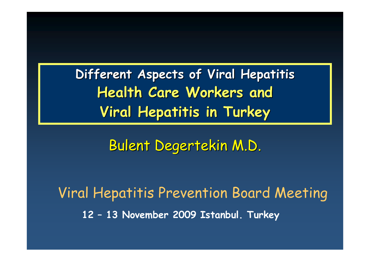**Different Aspects of Viral Hepatitis Health Care Workers and Viral Hepatitis in Turkey**

Bulent Degertekin M.D.

Viral Hepatitis Prevention Board Meeting **12 – 13 November 2009 Istanbul. Turkey**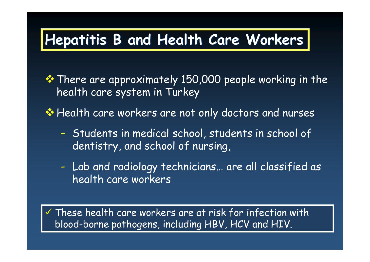# **Hepatitis B and Health Care Workers**

**\*** There are approximately 150,000 people working in the health care system in Turkey

**Extempt Health care workers are not only doctors and nurses** 

- - Students in medical school, students in school of dentistry, and school of nursing,
- - Lab and radiology technicians… are all classified as health care workers

 $\checkmark$  These health care workers are at risk for infection with blood-borne pathogens, including HBV, HCV and HIV.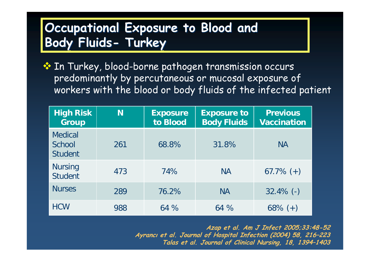### **Occupational Exposure to Blood and Body Fluids- Turkey**

◆ In Turkey, blood-borne pathogen transmission occurs predominantly by percutaneous or mucosal exposure of workers with the blood or body fluids of the infected patient

| <b>High Risk</b><br><b>Group</b>           | N   | <b>Exposure</b><br>to Blood | <b>Exposure to</b><br><b>Body Fluids</b> | <b>Previous</b><br><b>Vaccination</b> |
|--------------------------------------------|-----|-----------------------------|------------------------------------------|---------------------------------------|
| <b>Medical</b><br>School<br><b>Student</b> | 261 | 68.8%                       | 31.8%                                    | <b>NA</b>                             |
| <b>Nursing</b><br><b>Student</b>           | 473 | 74%                         | <b>NA</b>                                | $67.7\%$ (+)                          |
| <b>Nurses</b>                              | 289 | 76.2%                       | <b>NA</b>                                | $32.4\%$ (-)                          |
| <b>HCW</b>                                 | 988 | 64%                         | 64%                                      | $68\% (+)$                            |

**Azap et al. Am J Infect 2005;33:48-52 Ayrancı et al. Journal of Hospital Infection (2004) 58, 216–223 Talas et al. Journal of Clinical Nursing, 18, 1394–1403**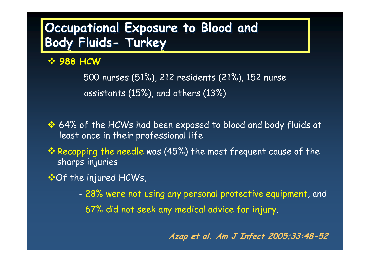### **Occupational Exposure to Blood and Body Fluids- Turkey**

**988 HCW** 

- 500 nurses (51%), 212 residents (21%), 152 nurse assistants (15%), and others (13%)

- $\cdot$  64% of the HCWs had been exposed to blood and body fluids at least once in their professional life
- $\cdot$  Recapping the needle was (45%) the most frequent cause of the sharps injuries
- ⊙f the injured HCWs,
	- 28% were not using any personal protective equipment, and
	- 67% did not seek any medical advice for injury.

**Azap et al. Am J Infect 2005;33:48-52**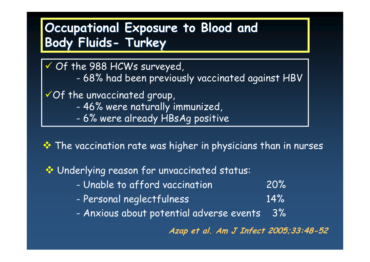### **Occupational Exposure to Blood and Body Fluids- Turkey**

- $\checkmark$  Of the 988 HCWs surveyed,
	- -68% had been previously vaccinated against HBV
- $\checkmark$  Of the unvaccinated group,
	- -46% were naturally immunized,
	- -6% were already HBsAg positive

**\*** The vaccination rate was higher in physicians than in nurses

Underlying reason for unvaccinated status:

- Unable to afford vaccination 20%
- -Personal neglectfulness 14%
- -Anxious about potential adverse events 3%

**Azap et al. Am J Infect 2005;33:48-52**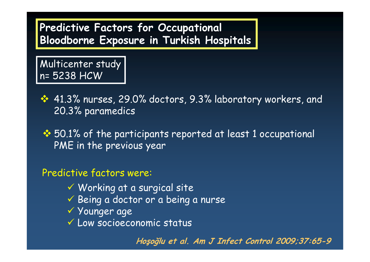#### **Predictive Factors for Occupational Bloodborne Exposure in Turkish Hospitals**

Multicenter study n= 5238 HCW

 $\cdot$  41.3% nurses, 29.0% doctors, 9.3% laboratory workers, and 20.3% paramedics

 $\cdot$  50.1% of the participants reported at least 1 occupational PME in the previous year

#### Predictive factors were:

- $\checkmark$  Working at a surgical site
- $\checkmark$  Being a doctor or a being a nurse
- 9 Younger age
- $\checkmark$  Low socioeconomic status

**Hoşoğlu et al. Am J Infect Control 2009;37:65-9**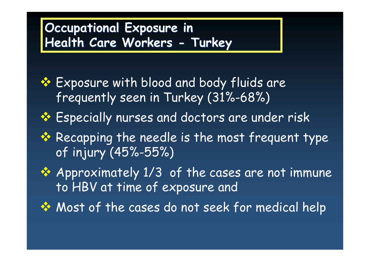### **Occupational Exposure in Health Care Workers - Turkey**

- ❖ Exposure with blood and body fluids are frequently seen in Turkey (31%-68%)
- ◆ Especially nurses and doctors are under risk
- **\*** Recapping the needle is the most frequent type of injury (45%-55%)
- **☆** Approximately 1/3 of the cases are not immune to HBV at time of exposure and
- ◆ Most of the cases do not seek for medical help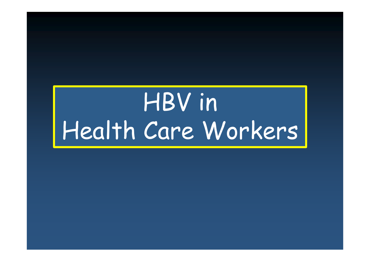# HBV in Health Care Workers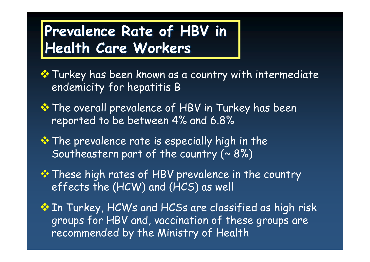## **Prevalence Rate of HBV in Health Care Workers**

**\*** Turkey has been known as a country with intermediate endemicity for hepatitis B

- **\*** The overall prevalence of HBV in Turkey has been reported to be between 4% and 6.8%
- $\cdot$  The prevalence rate is especially high in the Southeastern part of the country  $( \sim 8\%)$
- **\* These high rates of HBV prevalence in the country** effects the (HCW) and (HCS) as well
- **In Turkey, HCWs and HCSs are classified as high risk** groups for HBV and, vaccination of these groups are recommended by the Ministry of Health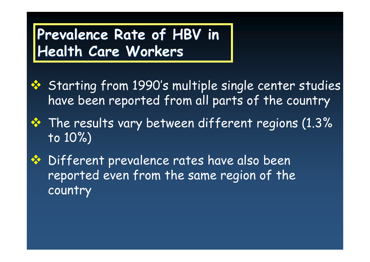# **Prevalence Rate of HBV in Health Care Workers**

- **❖** Starting from 1990's multiple single center studies have been reported from all parts of the country
- $\cdot$  The results vary between different regions (1.3%) to 10%)
- **❖** Different prevalence rates have also been reported even from the same region of the country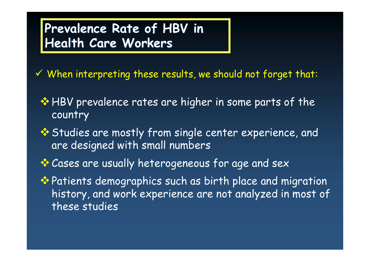### **Prevalence Rate of HBV in Health Care Workers**

 $96$  When interpreting these results, we should not forget that:

- **\*** HBV prevalence rates are higher in some parts of the country
- **<sup>◆</sup> Studies are mostly from single center experience, and** are designed with small numbers
- **Cases are usually heterogeneous for age and sex**
- ◆ Patients demographics such as birth place and migration history, and work experience are not analyzed in most of these studies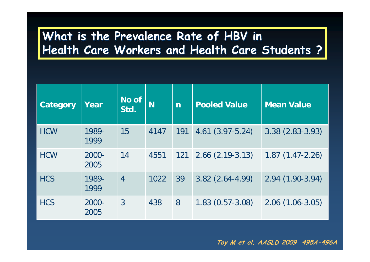#### **What is the Prevalence Rate of HBV in Health Care Workers and Health Care Students ?**

| Category   | Year          | No of<br>Std.  | N    | $\overline{\mathsf{n}}$ | <b>Pooled Value</b>  | <b>Mean Value</b> |
|------------|---------------|----------------|------|-------------------------|----------------------|-------------------|
| <b>HCW</b> | 1989-<br>1999 | 15             | 4147 | 191                     | $4.61(3.97-5.24)$    | $3.38(2.83-3.93)$ |
| <b>HCW</b> | 2000-<br>2005 | 14             | 4551 | 121                     | $2.66$ $(2.19-3.13)$ | $1.87(1.47-2.26)$ |
| <b>HCS</b> | 1989-<br>1999 | $\overline{4}$ | 1022 | 39                      | $3.82(2.64 - 4.99)$  | 2.94 (1.90-3.94)  |
| <b>HCS</b> | 2000-<br>2005 | $\overline{3}$ | 438  | 8                       | $1.83(0.57-3.08)$    | $2.06(1.06-3.05)$ |

**Toy M et al. AASLD 2009 495A-496A**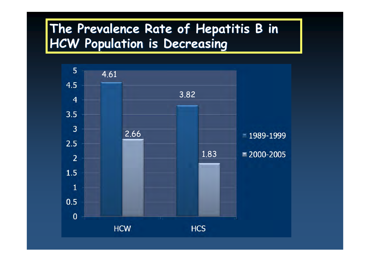#### **The Prevalence Rate of Hepatitis B in HCW Population is Decreasing**

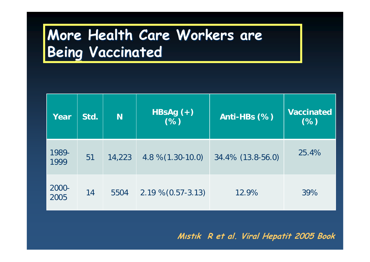# **More Health Care Workers are Being Vaccinated**

| Year          | Std. | <b>N</b> | HBsAg $(+)$<br>(% )    | Anti-HBs (%)      | <b>Vaccinated</b><br>(%) |
|---------------|------|----------|------------------------|-------------------|--------------------------|
| 1989-<br>1999 | 51   | 14,223   | $4.8\% (1.30-10.0)$    | 34.4% (13.8-56.0) | 25.4%                    |
| 2000-<br>2005 | 14   | 5504     | $2.19\% (0.57 - 3.13)$ | 12.9%             | 39%                      |

**Mıstık R et al. Viral Hepatit 2005 Book**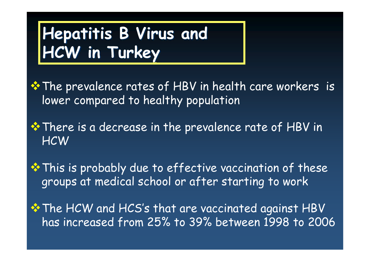# **Hepatitis B Virus and HCW in Turkey**

**\*** The prevalence rates of HBV in health care workers is lower compared to healthy population

**\*** There is a decrease in the prevalence rate of HBV in **HCW** 

**\*** This is probably due to effective vaccination of these groups at medical school or after starting to work

**\*** The HCW and HCS's that are vaccinated against HBV has increased from 25% to 39% between 1998 to 2006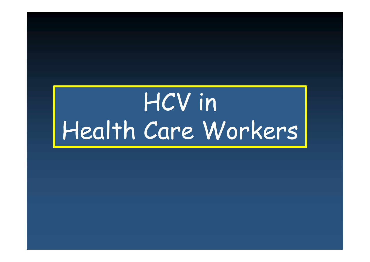# HCV in Health Care Workers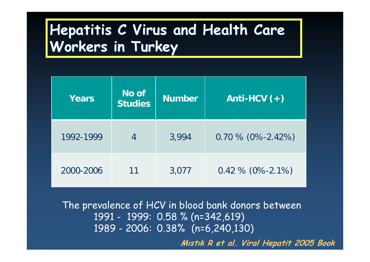## **Hepatitis C Virus and Health Care Workers in Turkey**

| Years     | No of<br><b>Studies</b> | <b>Number</b> | Anti-HCV $(+)$      |
|-----------|-------------------------|---------------|---------------------|
| 1992-1999 |                         | 3,994         | $0.70\%$ (0%-2.42%) |
| 2000-2006 | 11                      | 3,077         | $0.42\%$ (0%-2.1%)  |

The prevalence of HCV in blood bank donors between 1991 - 1999: 0.58 % (n=342,619) 1989 - 2006: 0.38% (n=6,240,130)

**Mıstık R et al. Viral Hepatit 2005 Book**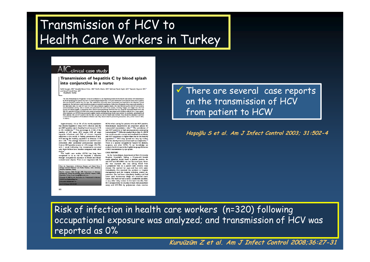### Transmission of HCV to Health Care Workers in Turkey



#### Transmission of hepatitis C by blood splash into conjunctiva in a nurse

Salih Hosoglu, MD,<sup>8</sup> Mustafa Kemal Celen, MD,<sup>8</sup> Serife Akalin, MD,<sup>8</sup> Mehmet Faruk Geyik, MD,<sup>8</sup> Yasemin Soyoral, MD,<sup>b</sup> and Ismail Hamdi Kara, MD<sup>o</sup> Diyarbakir, Turkey

The risk of transmission of hepatitis C virus (HCV) infection is an important problem for the health care worker. HCV transmission The flux of interference integer<br>case variety constraints are presented in the material of the state of<br>the byth of primarity and present the state of the state of the state<br>of the state of the state of the state of the s After treatment, an HCV-RNA test produced negative results and transaminase levels were normal. In conclusion, splashing blood<br>from patients who are HCV positive into the face or eyes is a risk for health care workers. The mial acquisition of bloodborne infection and they should observe protective precautions. (Am J Infect Control 2003;  $31:502-4$ 

Approximately 1% to 5% of the world population has chronic hepatitis C virus (HCV) infection and the anti-HCV positive rate in healthy blood donors is 0.5% to 4% worldwide.<sup>1,2</sup> This percentage is 4-fold of the number of HIV cases. HCV causes 20% of acute hepatitis infections and 70% of chronic hepatitis infections in the world. In Turkey, prevalence of anti-HCV among the healthy population is between  $0.5\%$  and  $1.5\%$ .<sup>3</sup> The average incidence of anti-HCV seroconversion after accidental percutaneous exposure from an HCV-positive source is 1.8% (range: 0%-7%), with 1 study indicating that transmission occurred only from hollow-bore needles compared with other sharps.<sup>4</sup><br>The health care worker (HCW) has long been

recognized to be at risk for hepatitis C infection through occupational exposure to blood and blood-<br>contaminated objects. There is an important risk for

From the Departments of Infectious Diseases and Chrical Micro-biology,\* Internal Medicine," and Family Practice," Dick University<br>Hospital, Diyarbakit, Tarkey,<br>Christman Medicine, MP, Diseases and Infection print requests: Salih Hosoglu, MD, Department of<br>seases and Clinical Microbiology, Dick University Hosp<br>purbakir, Turkey. E-mail: hosoglu@hotmail.com. yright © 2003 by the Asso<br>strol and Epidemiology, Inc. stion for Profess  $0 + 000120$ 

HCWs when caring for patients who are HCV positive. Hemodialysis departments are important places for nosocomial transmission risks.<sup>5.6</sup> The prevalence of anti-HCV positivity is high among patients undergoing<br>hemodialysis.<sup>5-8</sup> Different studies show that if a HCW has continuous skin contact and needlestick accidents, anti-HCV prevalence is higher than that in the healthy<br>population.<sup>8.9</sup> HCV may spread not only by broken skin, but also by mucous contact such as conjunctiva.<sup>10</sup> There is a special occupational hazard for dentists, surgeons, and other HCWs. To our knowledge, we present the third case in the English-language literature of HCV transmission by eye splash.

#### **CASE REPORT**

In the hemodialysis department at Dicle University Hospital, Diyarbakir, Turkey, a 23-year-old female nurse splashed blood from a patient positive for anti-HCV and HCV-RNA into her face and eyes. When she was exposed, she was taking blood from a peripheral vein in a patient with chronic renal disease. She washed her eyes and face with water immediately. She reported the accident to hospital management and the hospital infection control department. She had been completely healthy and had never used intravenous drugs nor received transfusion. She had not had a tattoo, needlestick accident, or any other risky contact in the last 6 months. Anti-HCV seropositivity by enyzme-linked immunosorbent<br>assay and HCV-RNA by polymerase chain reaction  $\checkmark$  There are several case reports on the transmission of HCV from patient to HCW

**Hoşoğlu S et al. Am J Infect Control 2003; 31:502-4** 

Risk of infection in health care workers (n=320) following occupational exposure was analyzed; and transmission of HCV was reported as 0%

**Kuruüzüm Z et al. Am J Infect Control 2008;36:27-31**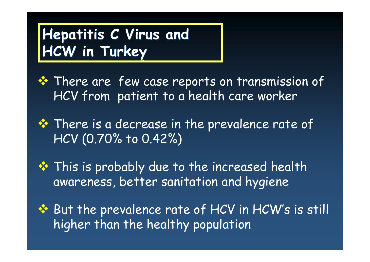# **Hepatitis C Virus and HCW in Turkey**

- $\dots$  There are few case reports on transmission of HCV from patient to a health care worker
- **\*** There is a decrease in the prevalence rate of HCV (0.70% to 0.42%)
- **☆** This is probably due to the increased health awareness, better sanitation and hygiene
- ◆ But the prevalence rate of HCV in HCW's is still higher than the healthy population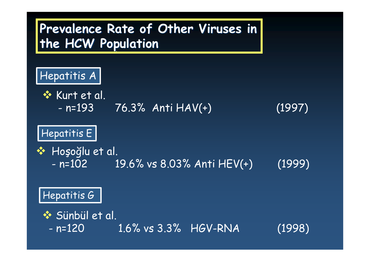#### **Prevalence Rate of Other Viruses in the HCW Population**

#### Hepatitis A

**☆ Kurt et al.**  $- n = 193$ 

76.3% Anti HAV(+) (1997)

#### Hepatitis E

#### ❖ Hoşoğlu et al.  $- n = 102$ n=102 19.6% vs 8.03% Anti HEV(+) (1999)

#### Hepatitis G

 $\diamondsuit$  Sünbül et al.

 $- n = 120$ 1.6% vs 3.3% HGV-RNA (1998)

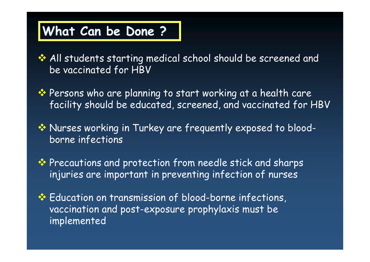- All students starting medical school should be screened and be vaccinated for HBV
- ◆ Persons who are planning to start working at a health care facility should be educated, screened, and vaccinated for HBV
- Nurses working in Turkey are frequently exposed to bloodborne infections
- **\*** Precautions and protection from needle stick and sharps injuries are important in preventing infection of nurses
- **Education on transmission of blood-borne infections,** vaccination and post-exposure prophylaxis must be implemented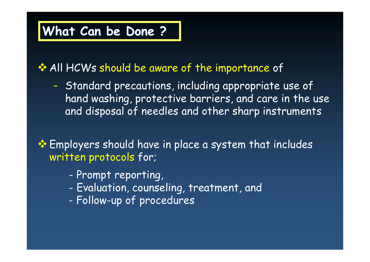**All HCWs should be aware of the importance of** 

- Standard precautions, including appropriate use of hand washing, protective barriers, and care in the use and disposal of needles and other sharp instruments

**Employers should have in place a system that includes** written protocols for;

- -Prompt reporting,
- -Evaluation, counseling, treatment, and
- -Follow-up of procedures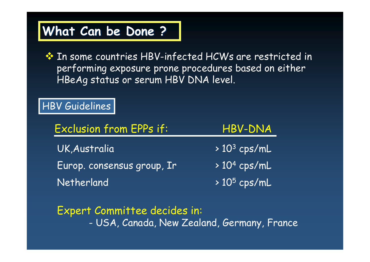**EXA In some countries HBV-infected HCWs are restricted in** performing exposure prone procedures based on either HBeAg status or serum HBV DNA level.

#### HBV Guidelines

| <b>Exclusion from EPPs if:</b> | HBV-DNA         |
|--------------------------------|-----------------|
| UK, Australia                  | $> 103$ cps/mL  |
| Europ. consensus group, Ir     | $> 104$ cps/mL  |
| Netherland                     | $> 10^5$ cps/mL |

Expert Committee decides in: -USA, Canada, New Zealand, Germany, France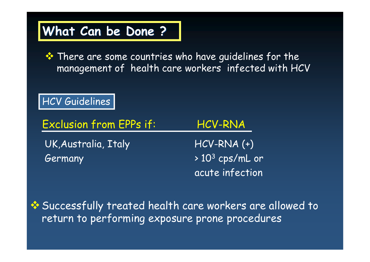**\*** There are some countries who have guidelines for the management of health care workers infected with HCV

HCV Guidelines

UK, Australia, Italy HCV-RNA (+)  $Germany$   $> 10^3$  cps/mL or acute infection Exclusion from EPPs if: HCV-RNA

Successfully treated health care workers are allowed to return to performing exposure prone procedures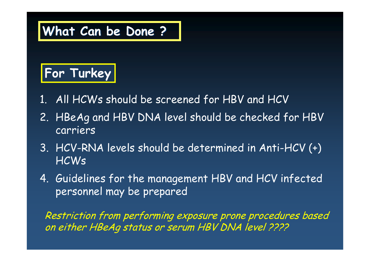

- 1. All HCWs should be screened for HBV and HCV
- 2. HBeAg and HBV DNA level should be checked for HBV carriers
- 3. HCV-RNA levels should be determined in Anti-HCV (+) HCWs
- 4. Guidelines for the management HBV and HCV infected personnel may be prepared

Restriction from performing exposure prone procedures based on either HBeAg status or serum HBV DNA level ????